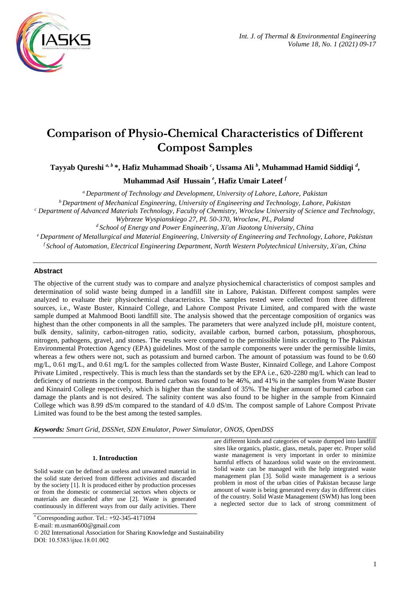

# **Comparison of Physio-Chemical Characteristics of Different Compost Samples**

**Tayyab Qureshi** *a, b* **\*, Hafiz Muhammad Shoaib** *<sup>c</sup>* **, Ussama Ali** *<sup>b</sup>* **, Muhammad Hamid Siddiqi** *<sup>d</sup>* **,**

**Muhammad Asif Hussain** *<sup>e</sup>* **, Hafiz Umair Lateef** *<sup>f</sup>*

*<sup>a</sup>Department of Technology and Development, University of Lahore, Lahore, Pakistan <sup>b</sup>Department of Mechanical Engineering, University of Engineering and Technology, Lahore, Pakistan <sup>c</sup> Department of Advanced Materials Technology, Faculty of Chemistry, Wroclaw University of Science and Technology, Wybrzeze Wyspianskiego 27, PL 50-370, Wroclaw, PL, Poland <sup>d</sup> School of Energy and Power Engineering, Xi'an Jiaotong University, China <sup>e</sup> Department of Metallurgical and Material Engineering, University of Engineering and Technology, Lahore, Pakistan*

*<sup>f</sup> School of Automation, Electrical Engineering Department, North Western Polytechnical University, Xi'an, China*

# **Abstract**

The objective of the current study was to compare and analyze physiochemical characteristics of compost samples and determination of solid waste being dumped in a landfill site in Lahore, Pakistan. Different compost samples were analyzed to evaluate their physiochemical characteristics. The samples tested were collected from three different sources, i.e., Waste Buster, Kinnaird College, and Lahore Compost Private Limited, and compared with the waste sample dumped at Mahmood Booti landfill site. The analysis showed that the percentage composition of organics was highest than the other components in all the samples. The parameters that were analyzed include pH, moisture content, bulk density, salinity, carbon-nitrogen ratio, sodicity, available carbon, burned carbon, potassium, phosphorous, nitrogen, pathogens, gravel, and stones. The results were compared to the permissible limits according to The Pakistan Environmental Protection Agency (EPA) guidelines. Most of the sample components were under the permissible limits, whereas a few others were not, such as potassium and burned carbon. The amount of potassium was found to be 0.60 mg/L, 0.61 mg/L, and 0.61 mg/L for the samples collected from Waste Buster, Kinnaird College, and Lahore Compost Private Limited , respectively. This is much less than the standards set by the EPA i.e., 620-2280 mg/L which can lead to deficiency of nutrients in the compost. Burned carbon was found to be 46%, and 41% in the samples from Waste Buster and Kinnaird College respectively, which is higher than the standard of 35%. The higher amount of burned carbon can damage the plants and is not desired. The salinity content was also found to be higher in the sample from Kinnaird College which was 8.99 dS/m compared to the standard of 4.0 dS/m. The compost sample of Lahore Compost Private Limited was found to be the best among the tested samples.

*Keywords: Smart Grid, DSSNet, SDN Emulator, Power Simulator, ONOS, OpenDSS*

# **1. Introduction**

Solid waste can be defined as useless and unwanted material in the solid state derived from different activities and discarded by the society [1]. It is produced either by production processes or from the domestic or commercial sectors when objects or materials are discarded after use [2]. Waste is generated continuously in different ways from our daily activities. There

\* Corresponding author. Tel.: +92-345-4171094

E-mail: m.usman600@gmail.com

DOI: 10.5383/ijtee.18.01.002

are different kinds and categories of waste dumped into landfill sites like organics, plastic, glass, metals, paper etc. Proper solid waste management is very important in order to minimize harmful effects of hazardous solid waste on the environment. Solid waste can be managed with the help integrated waste management plan [3]. Solid waste management is a serious problem in most of the urban cities of Pakistan because large amount of waste is being generated every day in different cities of the country. Solid Waste Management (SWM) has long been a neglected sector due to lack of strong commitment of

<sup>© 202</sup> International Association for Sharing Knowledge and Sustainability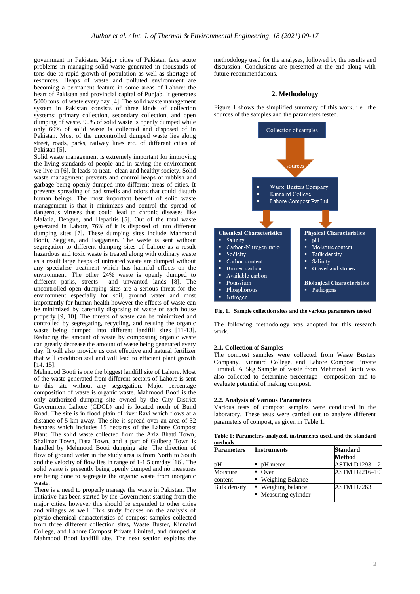government in Pakistan. Major cities of Pakistan face acute problems in managing solid waste generated in thousands of tons due to rapid growth of population as well as shortage of resources. Heaps of waste and polluted environment are becoming a permanent feature in some areas of Lahore: the heart of Pakistan and provincial capital of Punjab. It generates 5000 tons of waste every day [4]. The solid waste management system in Pakistan consists of three kinds of collection systems: primary collection, secondary collection, and open dumping of waste. 90% of solid waste is openly dumped while only 60% of solid waste is collected and disposed of in Pakistan. Most of the uncontrolled dumped waste lies along street, roads, parks, railway lines etc. of different cities of Pakistan [5].

Solid waste management is extremely important for improving the living standards of people and in saving the environment we live in [6]. It leads to neat, clean and healthy society. Solid waste management prevents and control heaps of rubbish and garbage being openly dumped into different areas of cities. It prevents spreading of bad smells and odors that could disturb human beings. The most important benefit of solid waste management is that it minimizes and control the spread of dangerous viruses that could lead to chronic diseases like Malaria, Dengue, and Hepatitis [5]. Out of the total waste generated in Lahore, 76% of it is disposed of into different dumping sites [7]. These dumping sites include Mahmood Booti, Saggian, and Baggarian. The waste is sent without segregation to different dumping sites of Lahore as a result hazardous and toxic waste is treated along with ordinary waste as a result large heaps of untreated waste are dumped without any specialize treatment which has harmful effects on the environment. The other 24% waste is openly dumped to different parks, streets and unwanted lands [8]. The and unwanted lands [8]. The uncontrolled open dumping sites are a serious threat for the environment especially for soil, ground water and most importantly for human health however the effects of waste can be minimized by carefully disposing of waste of each house properly [9, 10]. The threats of waste can be minimized and controlled by segregating, recycling, and reusing the organic waste being dumped into different landfill sites [11-13]. Reducing the amount of waste by composting organic waste can greatly decrease the amount of waste being generated every day. It will also provide us cost effective and natural fertilizer that will condition soil and will lead to efficient plant growth [14, 15].

Mehmood Booti is one the biggest landfill site of Lahore. Most of the waste generated from different sectors of Lahore is sent to this site without any segregation. Major percentage composition of waste is organic waste. Mahmood Booti is the only authorized dumping site owned by the City District Government Lahore (CDGL) and is located north of Bund Road. The site is in flood plain of river Ravi which flows at a distance of 5 km away. The site is spread over an area of 32 hectares which includes 15 hectares of the Lahore Compost Plant. The solid waste collected from the Aziz Bhatti Town, Shalimar Town, Data Town, and a part of Gulberg Town is handled by Mehmood Booti dumping site. The direction of flow of ground water in the study area is from North to South and the velocity of flow lies in range of 1-1.5 cm/day [16]. The solid waste is presently being openly dumped and no measures are being done to segregate the organic waste from inorganic waste.

There is a need to properly manage the waste in Pakistan. The initiative has been started by the Government starting from the major cities, however this should be expanded to other cities and villages as well. This study focuses on the analysis of physio-chemical characteristics of compost samples collected from three different collection sites, Waste Buster, Kinnaird College, and Lahore Compost Private Limited, and dumped at Mahmood Booti landfill site. The next section explains the

methodology used for the analyses, followed by the results and discussion. Conclusions are presented at the end along with future recommendations.

#### **2. Methodology**

Figure 1 shows the simplified summary of this work, i.e., the sources of the samples and the parameters tested.



**Fig. 1. Sample collection sites and the various parameters tested**

The following methodology was adopted for this research work.

#### **2.1. Collection of Samples**

The compost samples were collected from Waste Busters Company, Kinnaird College, and Lahore Compost Private Limited. A 5kg Sample of waste from Mehmood Booti was also collected to determine percentage composition and to evaluate potential of making compost.

#### **2.2. Analysis of Various Parameters**

Various tests of compost samples were conducted in the laboratory. These tests were carried out to analyze different parameters of compost, as given in Table 1.

**Table 1: Parameters analyzed, instruments used, and the standard methods**

| <b>Parameters</b>   | <b>Instruments</b>                     | <b>Standard</b><br>Method |
|---------------------|----------------------------------------|---------------------------|
| pН                  | pH meter                               | <b>ASTM D1293-12</b>      |
| Moisture<br>content | Oven<br><b>Weighing Balance</b>        | <b>ASTM D2216-10</b>      |
| <b>Bulk</b> density | Weighing balance<br>Measuring cylinder | ASTM D7263                |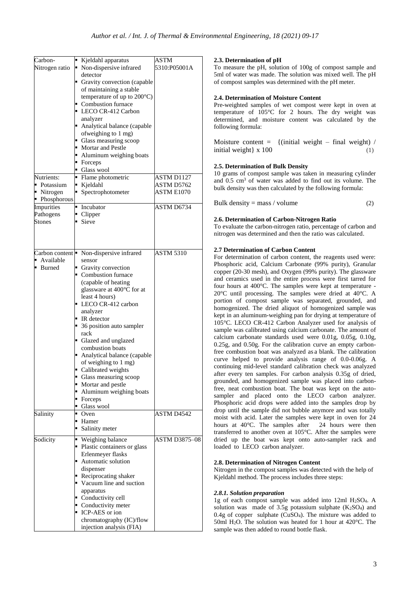| Carbon-        |  | Kjeldahl apparatus                       | ASTM                 |
|----------------|--|------------------------------------------|----------------------|
| Nitrogen ratio |  | • Non-dispersive infrared                | 5310:P05001A         |
|                |  | detector                                 |                      |
|                |  | Gravity convection (capable              |                      |
|                |  |                                          |                      |
|                |  | of maintaining a stable                  |                      |
|                |  | temperature of up to $200^{\circ}$ C)    |                      |
|                |  | • Combustion furnace                     |                      |
|                |  | LECO CR-412 Carbon                       |                      |
|                |  | analyzer                                 |                      |
|                |  |                                          |                      |
|                |  | Analytical balance (capable              |                      |
|                |  | ofweighing to 1 mg)                      |                      |
|                |  | • Glass measuring scoop                  |                      |
|                |  | • Mortar and Pestle                      |                      |
|                |  | • Aluminum weighing boats                |                      |
|                |  | • Forceps                                |                      |
|                |  | • Glass wool                             |                      |
|                |  |                                          |                      |
| Nutrients:     |  | • Flame photometric                      | ASTM D1127           |
| • Potassium    |  | ■ Kjeldahl                               | ASTM D5762           |
| • Nitrogen     |  | • Spectrophotometer                      | ASTM E1070           |
| • Phosphorous  |  |                                          |                      |
| Impurities     |  | • Incubator                              | ASTM D6734           |
|                |  |                                          |                      |
| Pathogens      |  | • Clipper                                |                      |
| Stones         |  | $\blacksquare$ Sieve                     |                      |
|                |  |                                          |                      |
|                |  |                                          |                      |
|                |  |                                          |                      |
|                |  |                                          |                      |
|                |  | Carbon content   Non-dispersive infrared | <b>ASTM 5310</b>     |
| • Available    |  | sensor                                   |                      |
| ■ Burned       |  | Gravity convection                       |                      |
|                |  | Combustion furnace                       |                      |
|                |  |                                          |                      |
|                |  | (capable of heating                      |                      |
|                |  | glassware at 400°C for at                |                      |
|                |  | least 4 hours)                           |                      |
|                |  | LECO CR-412 carbon                       |                      |
|                |  | analyzer                                 |                      |
|                |  |                                          |                      |
|                |  | $\blacksquare$ IR detector               |                      |
|                |  | • 36 position auto sampler               |                      |
|                |  | rack                                     |                      |
|                |  | Glazed and unglazed                      |                      |
|                |  | combustion boats                         |                      |
|                |  | Analytical balance (capable              |                      |
|                |  |                                          |                      |
|                |  | of weighing to 1 mg)                     |                      |
|                |  | Calibrated weights                       |                      |
|                |  | • Glass measuring scoop                  |                      |
|                |  | • Mortar and pestle                      |                      |
|                |  | • Aluminum weighing boats                |                      |
|                |  |                                          |                      |
|                |  | • Forceps                                |                      |
|                |  | Glass wool                               |                      |
| Salinity       |  | $\bullet$ Oven                           | ASTM D4542           |
|                |  | ■ Hamer                                  |                      |
|                |  | Salinity meter                           |                      |
|                |  |                                          |                      |
| Sodicity       |  | ■ Weighing balance                       | <b>ASTM D3875-08</b> |
|                |  | • Plastic containers or glass            |                      |
|                |  | Erlenmeyer flasks                        |                      |
|                |  | • Automatic solution                     |                      |
|                |  |                                          |                      |
|                |  | dispenser                                |                      |
|                |  | Reciprocating shaker                     |                      |
|                |  | Vacuum line and suction                  |                      |
|                |  | apparatus                                |                      |
|                |  | • Conductivity cell                      |                      |
|                |  |                                          |                      |
|                |  | Conductivity meter                       |                      |
|                |  | • ICP-AES or ion                         |                      |
|                |  | chromatography (IC)/flow                 |                      |
|                |  | injection analysis (FIA)                 |                      |

# **2.3. Determination of pH**

To measure the pH, solution of 100g of compost sample and 5ml of water was made. The solution was mixed well. The pH of compost samples was determined with the pH meter.

# **2.4. Determination of Moisture Content**

Pre-weighted samples of wet compost were kept in oven at temperature of 105°C for 2 hours. The dry weight was determined, and moisture content was calculated by the following formula:

Moisture content =  $\{$ (initial weight – final weight) / initial weight $\} \times 100$  (1)

# **2.5. Determination of Bulk Density**

10 grams of compost sample was taken in measuring cylinder and 0.5 cm<sup>3</sup> of water was added to find out its volume. The bulk density was then calculated by the following formula:

```
Bulk density = mass / volume (2)
```
# **2.6. Determination of Carbon-Nitrogen Ratio**

To evaluate the carbon-nitrogen ratio, percentage of carbon and nitrogen was determined and then the ratio was calculated.

# **2.7 Determination of Carbon Content**

For determination of carbon content, the reagents used were: Phosphoric acid, Calcium Carbonate (99% purity), Granular copper (20-30 mesh), and Oxygen (99% purity). The glassware and ceramics used in the entire process were first tarred for four hours at 400°C. The samples were kept at temperature - 20°C until processing. The samples were dried at 40°C. A portion of compost sample was separated, grounded, and homogenized. The dried aliquot of homogenized sample was kept in an aluminum-weighing pan for drying at temperature of 105°C. LECO CR-412 Carbon Analyzer used for analysis of sample was calibrated using calcium carbonate. The amount of calcium carbonate standards used were 0.01g, 0.05g, 0.10g, 0.25g, and 0.50g. For the calibration curve an empty carbonfree combustion boat was analyzed as a blank. The calibration curve helped to provide analysis range of 0.0-0.06g. A continuing mid-level standard calibration check was analyzed after every ten samples. For carbon analysis 0.35g of dried, grounded, and homogenized sample was placed into carbonfree, neat combustion boat. The boat was kept on the autosampler and placed onto the LECO carbon analyzer. Phosphoric acid drops were added into the samples drop by drop until the sample did not bubble anymore and was totally moist with acid. Later the samples were kept in oven for 24 hours at 40°C. The samples after 24 hours were then transferred to another oven at 105°C. After the samples were dried up the boat was kept onto auto-sampler rack and loaded to LECO carbon analyzer.

## **2.8. Determination of Nitrogen Content**

Nitrogen in the compost samples was detected with the help of Kjeldahl method. The process includes three steps:

## *2.8.1. Solution preparation*

1g of each compost sample was added into 12ml H2SO4. A solution was made of  $3.5g$  potassium sulphate  $(K_2SO_4)$  and  $0.4g$  of copper sulphate (CuSO<sub>4</sub>). The mixture was added to 50ml H2O. The solution was heated for 1 hour at 420°C. The sample was then added to round bottle flask.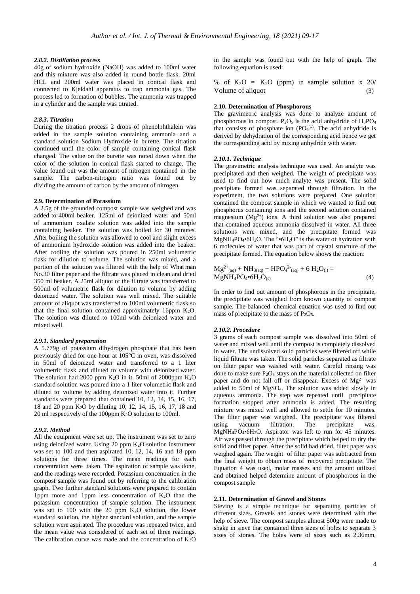# *2.8.2. Distillation process*

40g of sodium hydroxide (NaOH) was added to 100ml water and this mixture was also added in round bottle flask. 20ml HCL and 200ml water was placed in conical flask and connected to Kjeldahl apparatus to trap ammonia gas. The process led to formation of bubbles. The ammonia was trapped in a cylinder and the sample was titrated.

# *2.8.3. Titration*

During the titration process 2 drops of phenolphthalein was added in the sample solution containing ammonia and a standard solution Sodium Hydroxide in burette. The titration continued until the color of sample containing conical flask changed. The value on the burette was noted down when the color of the solution in conical flask started to change. The value found out was the amount of nitrogen contained in the sample. The carbon-nitrogen ratio was found out by dividing the amount of carbon by the amount of nitrogen.

#### **2.9. Determination of Potassium**

A 2.5g of the grounded compost sample was weighed and was added to 400ml beaker. 125ml of deionized water and 50ml of ammonium oxalate solution was added into the sample containing beaker. The solution was boiled for 30 minutes. After boiling the solution was allowed to cool and slight excess of ammonium hydroxide solution was added into the beaker. After cooling the solution was poured in 250ml volumetric flask for dilution to volume. The solution was mixed, and a portion of the solution was filtered with the help of What man No.30 filter paper and the filtrate was placed in clean and dried 350 ml beaker. A 25ml aliquot of the filtrate was transferred to 500ml of volumetric flask for dilution to volume by adding deionized water. The solution was well mixed. The suitable amount of aliquot was transferred to 100ml volumetric flask so that the final solution contained approximately 16ppm  $K_2O$ . The solution was diluted to 100ml with deionized water and mixed well.

# *2.9.1. Standard preparation*

A 5.779g of potassium dihydrogen phosphate that has been previously dried for one hour at 105°C in oven, was dissolved in 50ml of deionized water and transferred to a 1 liter volumetric flask and diluted to volume with deionized water. The solution had 2000 ppm K2O in it. 50ml of 2000ppm K2O standard solution was poured into a 1 liter volumetric flask and diluted to volume by adding deionized water into it. Further standards were prepared that contained 10, 12, 14, 15, 16, 17, 18 and 20 ppm K2O by diluting 10, 12, 14, 15, 16, 17, 18 and 20 ml respectively of the 100ppm K2O solution to 100ml.

## *2.9.2. Method*

All the equipment were set up. The instrument was set to zero using deionized water. Using 20 ppm K2O solution instrument was set to 100 and then aspirated 10, 12, 14, 16 and 18 ppm solutions for three times. The mean readings for each concentration were taken. The aspiration of sample was done, and the readings were recorded. Potassium concentration in the compost sample was found out by referring to the calibration graph. Two further standard solutions were prepared to contain 1ppm more and 1ppm less concentration of  $K_2O$  than the potassium concentration of sample solution. The instrument was set to  $100$  with the  $20$  ppm  $K<sub>2</sub>O$  solution, the lower standard solution, the higher standard solution, and the sample solution were aspirated. The procedure was repeated twice, and the mean value was considered of each set of three readings. The calibration curve was made and the concentration of  $K_2O$ 

in the sample was found out with the help of graph. The following equation is used:

% of  $K_2O = K_2O$  (ppm) in sample solution x 20/ Volume of aliquot (3)

## **2.10. Determination of Phosphorous**

The gravimetric analysis was done to analyze amount of phosphorous in compost. P<sub>2</sub>O<sub>5</sub> is the acid anhydride of  $H_3PO_4$ that consists of phosphate ion  $(PO<sub>4</sub><sup>3-</sup>)$ . The acid anhydride is derived by dehydration of the corresponding acid hence we get the corresponding acid by mixing anhydride with water.

#### *2.10.1. Technique*

The gravimetric analysis technique was used. An analyte was precipitated and then weighed. The weight of precipitate was used to find out how much analyte was present. The solid precipitate formed was separated through filtration. In the experiment, the two solutions were prepared. One solution contained the compost sample in which we wanted to find out phosphorus containing ions and the second solution contained magnesium  $(Mg^{2+})$  ions. A third solution was also prepared that contained aqueous ammonia dissolved in water. All three solutions were mixed, and the precipitate formed was MgNH4PO4•6H2O. The "•6H2O" is the water of hydration with 6 molecules of water that was part of crystal structure of the precipitate formed. The equation below shows the reaction:

$$
Mg^{2+}_{(aq)} + NH_{3(aq)} + HPO_{4}^{2-}_{(aq)} + 6 H_{2}O_{(l)} = MgNH_{4}PO_{4} \cdot 6H_{2}O_{(s)}
$$
\n(4)

In order to find out amount of phosphorous in the precipitate, the precipitate was weighed from known quantity of compost sample. The balanced chemical equation was used to find out mass of precipitate to the mass of  $P_2O_5$ .

#### *2.10.2. Procedure*

3 grams of each compost sample was dissolved into 50ml of water and mixed well until the compost is completely dissolved in water. The undissolved solid particles were filtered off while liquid filtrate was taken. The solid particles separated as filtrate on filter paper was washed with water. Careful rinsing was done to make sure P<sub>2</sub>O<sub>5</sub> stays on the material collected on filter paper and do not fall off or disappear. Excess of  $Mg^{2+}$  was added to 50ml of MgSO4. The solution was added slowly in aqueous ammonia. The step was repeated until precipitate formation stopped after ammonia is added. The resulting mixture was mixed well and allowed to settle for 10 minutes. The filter paper was weighed. The precipitate was filtered using vacuum filtration. The precipitate was, MgNH4PO4•6H2O. Aspirator was left to run for 45 minutes. Air was passed through the precipitate which helped to dry the solid and filter paper. After the solid had dried, filter paper was weighed again. The weight of filter paper was subtracted from the final weight to obtain mass of recovered precipitate. The Equation 4 was used, molar masses and the amount utilized and obtained helped determine amount of phosphorous in the compost sample

## **2.11. Determination of Gravel and Stones**

Sieving is a simple technique for separating particles of different sizes. Gravels and stones were determined with the help of sieve. The compost samples almost 500g were made to shake in sieve that contained three sizes of holes to separate 3 sizes of stones. The holes were of sizes such as 2.36mm,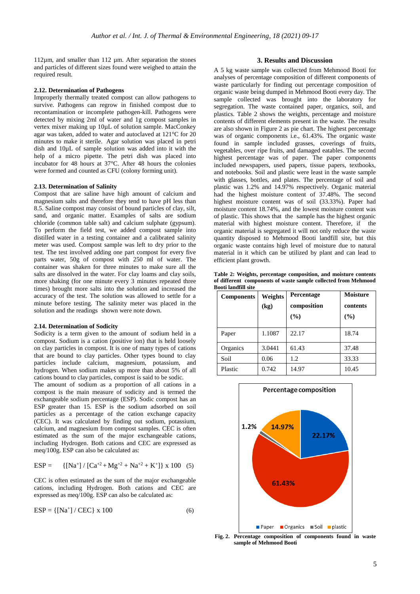112µm, and smaller than 112 µm. After separation the stones and particles of different sizes found were weighed to attain the required result.

#### **2.12. Determination of Pathogens**

Improperly thermally treated compost can allow pathogens to survive. Pathogens can regrow in finished compost due to recontamination or incomplete pathogen-kill. Pathogens were detected by mixing 2ml of water and 1g compost samples in vertex mixer making up 10µL of solution sample. MacConkey agar was taken, added to water and autoclaved at 121°C for 20 minutes to make it sterile. Agar solution was placed in petri dish and 10µL of sample solution was added into it with the help of a micro pipette. The petri dish was placed into incubator for 48 hours at 37°C. After 48 hours the colonies were formed and counted as CFU (colony forming unit).

# **2.13. Determination of Salinity**

Compost that are saline have high amount of calcium and magnesium salts and therefore they tend to have pH less than 8.5. Saline compost may consist of bound particles of clay, silt, sand, and organic matter. Examples of salts are sodium chloride (common table salt) and calcium sulphate (gypsum). To perform the field test, we added compost sample into distilled water in a testing container and a calibrated salinity meter was used. Compost sample was left to dry prior to the test. The test involved adding one part compost for every five parts water, 50g of compost with 250 ml of water. The container was shaken for three minutes to make sure all the salts are dissolved in the water. For clay loams and clay soils, more shaking (for one minute every 3 minutes repeated three times) brought more salts into the solution and increased the accuracy of the test. The solution was allowed to settle for a minute before testing. The salinity meter was placed in the solution and the readings shown were note down.

#### **2.14. Determination of Sodicity**

Sodicity is a term given to the amount of sodium held in a compost. Sodium is a cation (positive ion) that is held loosely on clay particles in compost. It is one of many types of cations that are bound to clay particles. Other types bound to clay particles include calcium, magnesium, potassium, and hydrogen. When sodium makes up more than about 5% of all cations bound to clay particles, compost is said to be sodic.

The amount of sodium as a proportion of all cations in a compost is the main measure of sodicity and is termed the exchangeable sodium percentage (ESP). Sodic compost has an ESP greater than 15. ESP is the sodium adsorbed on soil particles as a percentage of the cation exchange capacity (CEC). It was calculated by finding out sodium, potassium, calcium, and magnesium from compost samples. CEC is often estimated as the sum of the major exchangeable cations, including Hydrogen. Both cations and CEC are expressed as meq/100g. ESP can also be calculated as:

$$
ESP = \{ [Na^+] / [Ca^{+2} + Mg^{+2} + Na^{+2} + K^+] \} \times 100 \quad (5)
$$

CEC is often estimated as the sum of the major exchangeable cations, including Hydrogen. Both cations and CEC are expressed as meq/100g. ESP can also be calculated as:

$$
ESP = \{ [Na^+] / CEC \} \times 100
$$
 (6)

# **3. Results and Discussion**

A 5 kg waste sample was collected from Mehmood Booti for analyses of percentage composition of different components of waste particularly for finding out percentage composition of organic waste being dumped in Mehmood Booti every day. The sample collected was brought into the laboratory for segregation. The waste contained paper, organics, soil, and plastics. Table 2 shows the weights, percentage and moisture contents of different elements present in the waste. The results are also shown in Figure 2 as pie chart. The highest percentage was of organic components i.e., 61.43%. The organic waste found in sample included grasses, coverings of fruits, vegetables, over ripe fruits, and damaged eatables. The second highest percentage was of paper. The paper components included newspapers, used papers, tissue papers, textbooks, and notebooks. Soil and plastic were least in the waste sample with glasses, bottles, and plates. The percentage of soil and plastic was 1.2% and 14.97% respectively. Organic material had the highest moisture content of 37.48%. The second highest moisture content was of soil (33.33%). Paper had moisture content 18.74%, and the lowest moisture content was of plastic. This shows that the sample has the highest organic material with highest moisture content. Therefore, if the organic material is segregated it will not only reduce the waste quantity disposed to Mehmood Booti landfill site, but this organic waste contains high level of moisture due to natural material in it which can be utilized by plant and can lead to efficient plant growth.

**Table 2: Weights, percentage composition, and moisture contents of different components of waste sample collected from Mehmood Booti landfill site**

| <b>Components</b> | Weights<br>(kg) | Percentage<br>composition<br>(%) | Moisture<br>contents<br>(%) |
|-------------------|-----------------|----------------------------------|-----------------------------|
| Paper             | 1.1087          | 22.17                            | 18.74                       |
| Organics          | 3.0441          | 61.43                            | 37.48                       |
| Soil              | 0.06            | 1.2                              | 33.33                       |
| Plastic           | 0.742           | 14.97                            | 10.45                       |



**Fig. 2. Percentage composition of components found in waste sample of Mehmood Booti**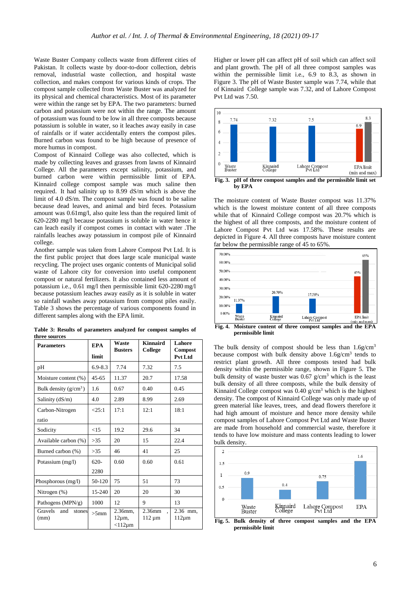Waste Buster Company collects waste from different cities of Pakistan. It collects waste by door-to-door collection, debris removal, industrial waste collection, and hospital waste collection, and makes compost for various kinds of crops. The compost sample collected from Waste Buster was analyzed for its physical and chemical characteristics. Most of its parameter were within the range set by EPA. The two parameters: burned carbon and potassium were not within the range. The amount of potassium was found to be low in all three composts because potassium is soluble in water, so it leaches away easily in case of rainfalls or if water accidentally enters the compost piles. Burned carbon was found to be high because of presence of more humus in compost.

Compost of Kinnaird College was also collected, which is made by collecting leaves and grasses from lawns of Kinnaird College. All the parameters except salinity, potassium, and burned carbon were within permissible limit of EPA. Kinnaird college compost sample was much saline then required. It had salinity up to 8.99 dS/m which is above the limit of 4.0 dS/m. The compost sample was found to be saline because dead leaves, and animal and bird feces. Potassium amount was 0.61mg/l, also quite less than the required limit of 620-2280 mg/l because potassium is soluble in water hence it can leach easily if compost comes in contact with water .The rainfalls leaches away potassium in compost pile of Kinnaird college.

Another sample was taken from Lahore Compost Pvt Ltd. It is the first public project that does large scale municipal waste recycling. The project uses organic contents of Municipal solid waste of Lahore city for conversion into useful component compost or natural fertilizers. It also contained less amount of potassium i.e., 0.61 mg/l then permissible limit 620-2280 mg/l because potassium leaches away easily as it is soluble in water so rainfall washes away potassium from compost piles easily. Table 3 shows the percentage of various components found in different samples along with the EPA limit.

|               |  | Table 3: Results of parameters analyzed for compost samples of |  |  |  |
|---------------|--|----------------------------------------------------------------|--|--|--|
| three sources |  |                                                                |  |  |  |

| <b>Parameters</b>                | <b>EPA</b>  | Waste<br><b>Busters</b> | Kinnaird<br>College   | Lahore<br><b>Compost</b> |  |
|----------------------------------|-------------|-------------------------|-----------------------|--------------------------|--|
|                                  | limit       |                         |                       | Pvt Ltd                  |  |
| pH                               | $6.9 - 8.3$ | 7.74                    | 7.32                  | 7.5                      |  |
| Moisture content (%)             | $45 - 65$   | 11.37                   | 20.7                  | 17.58                    |  |
| Bulk density $(g/cm^3)$          | 1.6         | 0.67                    | 0.40                  | 0.45                     |  |
| Salinity $(dS/m)$                | 4.0         | 2.89                    | 8.99                  | 2.69                     |  |
| Carbon-Nitrogen                  | <25:1       | 17:1                    | 12:1                  | 18:1                     |  |
| ratio                            |             |                         |                       |                          |  |
| Sodicity                         | <15         | 19.2                    | 29.6                  | 34                       |  |
| Available carbon (%)             | >35         | 20                      | 15                    | 22.4                     |  |
| Burned carbon (%)                | >35         | 46                      | 41                    | 25                       |  |
| Potassium (mg/l)                 | $620-$      | 0.60                    | 0.60                  | 0.61                     |  |
|                                  | 2280        |                         |                       |                          |  |
| Phosphorous (mg/l)               | 50-120      | 75                      | 51                    | 73                       |  |
| Nitrogen $(\%)$                  | 15-240      | 20                      | 20                    | 30                       |  |
| Pathogens (MPN/g)                | 1000        | 12                      | 9                     | 13                       |  |
| Gravels<br>and<br>stones<br>(mm) | $>5$ mm     | 2.36mm,<br>$12\mu m$ ,  | 2.36mm<br>$112 \mu m$ | 2.36 mm.<br>$112 \mu m$  |  |
|                                  |             | $<$ 112 $\mu$ m         |                       |                          |  |

Higher or lower pH can affect pH of soil which can affect soil and plant growth. The pH of all three compost samples was within the permissible limit i.e., 6.9 to 8.3, as shown in Figure 3. The pH of Waste Buster sample was 7.74, while that of Kinnaird College sample was 7.32, and of Lahore Compost Pvt Ltd was 7.50.



The moisture content of Waste Buster compost was 11.37% which is the lowest moisture content of all three composts while that of Kinnaird College compost was 20.7% which is the highest of all three composts, and the moisture content of Lahore Compost Pvt Ltd was 17.58%. These results are depicted in Figure 4. All three composts have moisture content far below the permissible range of 45 to 65%.



**permissible limit**

The bulk density of compost should be less than  $1.6$ g/cm<sup>3</sup> because compost with bulk density above  $1.6$ g/cm<sup>3</sup> tends to restrict plant growth. All three composts tested had bulk density within the permissible range, shown in Figure 5. The bulk density of waste buster was  $0.67$  g/cm<sup>3</sup> which is the least bulk density of all three composts, while the bulk density of Kinnaird College compost was 0.40 g/cm<sup>3</sup> which is the highest density. The compost of Kinnaird College was only made up of green material like leaves, trees, and dead flowers therefore it had high amount of moisture and hence more density while compost samples of Lahore Compost Pvt Ltd and Waste Buster are made from household and commercial waste, therefore it tends to have low moisture and mass contents leading to lower bulk density.



**Fig. 5. Bulk density of three compost samples and the EPA permissible limit**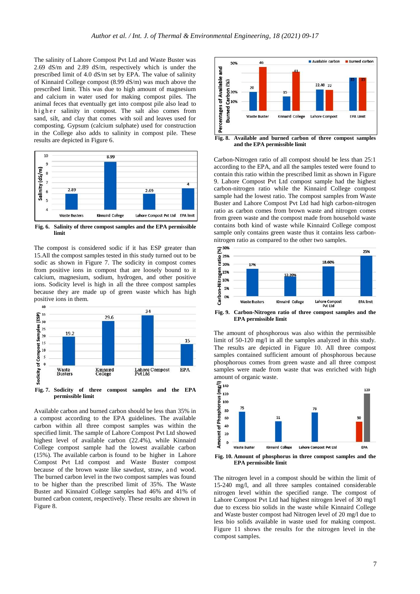The salinity of Lahore Compost Pvt Ltd and Waste Buster was 2.69 dS/m and 2.89 dS/m, respectively which is under the prescribed limit of 4.0 dS/m set by EPA. The value of salinity of Kinnaird College compost (8.99 dS/m) was much above the prescribed limit. This was due to high amount of magnesium and calcium in water used for making compost piles. The animal feces that eventually get into compost pile also lead to higher salinity in compost. The salt also comes from sand, silt, and clay that comes with soil and leaves used for composting. Gypsum (calcium sulphate) used for construction in the College also adds to salinity in compost pile. These results are depicted in Figure 6.



**Fig. 6. Salinity of three compost samples and the EPA permissible limit**

The compost is considered sodic if it has ESP greater than 15.All the compost samples tested in this study turned out to be sodic as shown in Figure 7. The sodicity in compost comes from positive ions in compost that are loosely bound to it calcium, magnesium, sodium, hydrogen, and other positive ions. Sodicity level is high in all the three compost samples because they are made up of green waste which has high positive ions in them.



Available carbon and burned carbon should be less than 35% in a compost according to the EPA guidelines. The available carbon within all three compost samples was within the specified limit. The sample of Lahore Compost Pvt Ltd showed highest level of available carbon (22.4%), while Kinnaird College compost sample had the lowest available carbon (15%). The available carbon is found to be higher in Lahore Compost Pvt Ltd compost and Waste Buster compost because of the brown waste like sawdust, straw, and wood. The burned carbon level in the two compost samples was found to be higher than the prescribed limit of 35%. The Waste Buster and Kinnaird College samples had 46% and 41% of burned carbon content, respectively. These results are shown in Figure 8.



**and the EPA permissible limit**

Carbon-Nitrogen ratio of all compost should be less than 25:1 according to the EPA, and all the samples tested were found to contain this ratio within the prescribed limit as shown in Figure 9. Lahore Compost Pvt Ltd compost sample had the highest carbon-nitrogen ratio while the Kinnaird College compost sample had the lowest ratio. The compost samples from Waste Buster and Lahore Compost Pvt Ltd had high carbon-nitrogen ratio as carbon comes from brown waste and nitrogen comes from green waste and the compost made from household waste contains both kind of waste while Kinnaird College compost sample only contains green waste thus it contains less carbonnitrogen ratio as compared to the other two samples.



**Fig. 9. Carbon-Nitrogen ratio of three compost samples and the EPA permissible limit**

The amount of phosphorous was also within the permissible limit of 50-120 mg/l in all the samples analyzed in this study. The results are depicted in Figure 10. All three compost samples contained sufficient amount of phosphorous because phosphorous comes from green waste and all three compost samples were made from waste that was enriched with high



**Fig. 10. Amount of phosphorus in three compost samples and the EPA permissible limit**

The nitrogen level in a compost should be within the limit of 15-240 mg/l, and all three samples contained considerable nitrogen level within the specified range. The compost of Lahore Compost Pvt Ltd had highest nitrogen level of 30 mg/l due to excess bio solids in the waste while Kinnaird College and Waste buster compost had Nitrogen level of 20 mg/l due to less bio solids available in waste used for making compost. Figure 11 shows the results for the nitrogen level in the compost samples.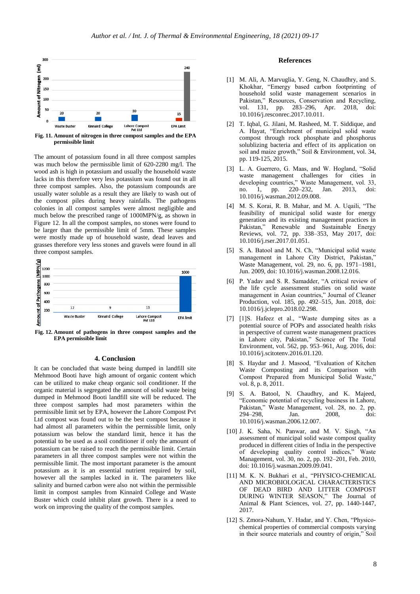

**Fig. 11. Amount of nitrogen in three compost samples and the EPA permissible limit**

The amount of potassium found in all three compost samples was much below the permissible limit of 620-2280 mg/l. The wood ash is high in potassium and usually the household waste lacks in this therefore very less potassium was found out in all three compost samples. Also, the potassium compounds are usually water soluble as a result they are likely to wash out of the compost piles during heavy rainfalls. The pathogens colonies in all compost samples were almost negligible and much below the prescribed range of 1000MPN/g, as shown in Figure 12. In all the compost samples, no stones were found to be larger than the permissible limit of 5mm. These samples were mostly made up of household waste, dead leaves and grasses therefore very less stones and gravels were found in all three compost samples.



**Fig. 12. Amount of pathogens in three compost samples and the EPA permissible limit**

# **4. Conclusion**

It can be concluded that waste being dumped in landfill site Mehmood Booti have high amount of organic content which can be utilized to make cheap organic soil conditioner. If the organic material is segregated the amount of solid waste being dumped in Mehmood Booti landfill site will be reduced. The three compost samples had most parameters within the permissible limit set by EPA, however the Lahore Compost Pvt Ltd compost was found out to be the best compost because it had almost all parameters within the permissible limit, only potassium was below the standard limit, hence it has the potential to be used as a soil conditioner if only the amount of potassium can be raised to reach the permissible limit. Certain parameters in all three compost samples were not within the permissible limit. The most important parameter is the amount potassium as it is an essential nutrient required by soil, however all the samples lacked in it. The parameters like salinity and burned carbon were also not within the permissible limit in compost samples from Kinnaird College and Waste Buster which could inhibit plant growth. There is a need to work on improving the quality of the compost samples.

## **References**

- [1] M. Ali, A. Marvuglia, Y. Geng, N. Chaudhry, and S. Khokhar, "Emergy based carbon footprinting of household solid waste management scenarios in Pakistan," Resources, Conservation and Recycling, vol. 131, pp. 283-296, Apr. 2018, doi: 10.1016/j.resconrec.2017.10.011.
- [2] T. Iqbal, G. Jilani, M. Rasheed, M. T. Siddique, and A. Hayat, "Enrichment of municipal solid waste compost through rock phosphate and phosphorus solublizing bacteria and effect of its application on soil and maize growth," Soil & Environment, vol. 34, pp. 119-125, 2015.
- [3] L. A. Guerrero, G. Maas, and W. Hogland, "Solid waste management challenges for cities in developing countries," Waste Management, vol. 33, no. 1, pp. 220–232, Jan. 2013, doi: no. 1, pp. 220–232, Jan. 2013, doi: 10.1016/j.wasman.2012.09.008.
- [4] M. S. Korai, R. B. Mahar, and M. A. Uqaili, "The feasibility of municipal solid waste for energy generation and its existing management practices in Pakistan," Renewable and Sustainable Energy Reviews, vol. 72, pp. 338–353, May 2017, doi: 10.1016/j.rser.2017.01.051.
- [5] S. A. Batool and M. N. Ch, "Municipal solid waste management in Lahore City District, Pakistan,' Waste Management, vol. 29, no. 6, pp. 1971–1981, Jun. 2009, doi: 10.1016/j.wasman.2008.12.016.
- [6] P. Yadav and S. R. Samadder, "A critical review of the life cycle assessment studies on solid waste management in Asian countries," Journal of Cleaner Production, vol. 185, pp. 492–515, Jun. 2018, doi: 10.1016/j.jclepro.2018.02.298.
- [7] [1]S. Hafeez et al., "Waste dumping sites as a potential source of POPs and associated health risks in perspective of current waste management practices in Lahore city, Pakistan," Science of The Total Environment, vol. 562, pp. 953–961, Aug. 2016, doi: 10.1016/j.scitotenv.2016.01.120.
- [8] S. Haydar and J. Masood, "Evaluation of Kitchen Waste Composting and its Comparison with Compost Prepared from Municipal Solid Waste," vol. 8, p. 8, 2011.
- S. A. Batool, N. Chaudhry, and K. Majeed, "Economic potential of recycling business in Lahore, Pakistan," Waste Management, vol. 28, no. 2, pp. 294–298, Jan. 2008, doi: 10.1016/j.wasman.2006.12.007.
- [10] J. K. Saha, N. Panwar, and M. V. Singh, "An assessment of municipal solid waste compost quality produced in different cities of India in the perspective of developing quality control indices," Waste Management, vol. 30, no. 2, pp. 192–201, Feb. 2010, doi: 10.1016/j.wasman.2009.09.041.
- [11] M. K. N. Bukhari et al., "PHYSICO-CHEMICAL AND MICROBIOLOGICAL CHARACTERISTICS OF DEAD BIRD AND LITTER COMPOST DURING WINTER SEASON," The Journal of Animal & Plant Sciences, vol. 27, pp. 1440-1447, 2017.
- [12] S. Zmora-Nahum, Y. Hadar, and Y. Chen, "Physicochemical properties of commercial composts varying in their source materials and country of origin," Soil